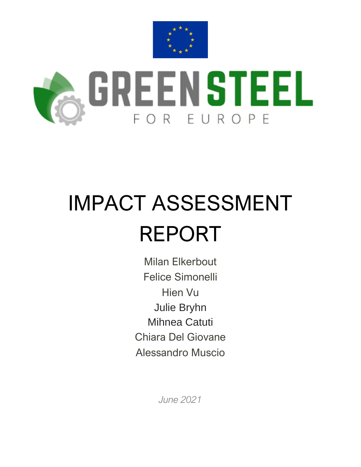



# IMPACT ASSESSMENT REPORT

Milan Elkerbout Felice Simonelli Hien Vu Julie Bryhn Mihnea Catuti Chiara Del Giovane Alessandro Muscio

*June 2021*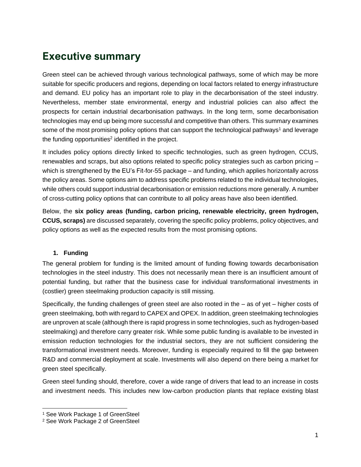# **Executive summary**

Green steel can be achieved through various technological pathways, some of which may be more suitable for specific producers and regions, depending on local factors related to energy infrastructure and demand. EU policy has an important role to play in the decarbonisation of the steel industry. Nevertheless, member state environmental, energy and industrial policies can also affect the prospects for certain industrial decarbonisation pathways. In the long term, some decarbonisation technologies may end up being more successful and competitive than others. This summary examines some of the most promising policy options that can support the technological pathways<sup>1</sup> and leverage the funding opportunities<sup>2</sup> identified in the project.

It includes policy options directly linked to specific technologies, such as green hydrogen, CCUS, renewables and scraps, but also options related to specific policy strategies such as carbon pricing – which is strengthened by the EU's Fit-for-55 package – and funding, which applies horizontally across the policy areas. Some options aim to address specific problems related to the individual technologies, while others could support industrial decarbonisation or emission reductions more generally. A number of cross-cutting policy options that can contribute to all policy areas have also been identified.

Below, the **six policy areas (funding, carbon pricing, renewable electricity, green hydrogen, CCUS, scraps)** are discussed separately, covering the specific policy problems, policy objectives, and policy options as well as the expected results from the most promising options.

# **1. Funding**

The general problem for funding is the limited amount of funding flowing towards decarbonisation technologies in the steel industry. This does not necessarily mean there is an insufficient amount of potential funding, but rather that the business case for individual transformational investments in (costlier) green steelmaking production capacity is still missing.

Specifically, the funding challenges of green steel are also rooted in the – as of yet – higher costs of green steelmaking, both with regard to CAPEX and OPEX. In addition, green steelmaking technologies are unproven at scale (although there is rapid progress in some technologies, such as hydrogen-based steelmaking) and therefore carry greater risk. While some public funding is available to be invested in emission reduction technologies for the industrial sectors, they are not sufficient considering the transformational investment needs. Moreover, funding is especially required to fill the gap between R&D and commercial deployment at scale. Investments will also depend on there being a market for green steel specifically.

Green steel funding should, therefore, cover a wide range of drivers that lead to an increase in costs and investment needs. This includes new low-carbon production plants that replace existing blast

<sup>1</sup> See Work Package 1 of GreenSteel

<sup>2</sup> See Work Package 2 of GreenSteel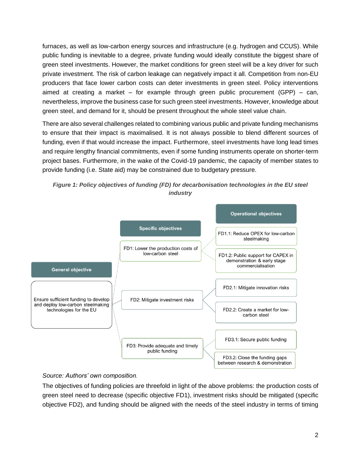furnaces, as well as low-carbon energy sources and infrastructure (e.g. hydrogen and CCUS). While public funding is inevitable to a degree, private funding would ideally constitute the biggest share of green steel investments. However, the market conditions for green steel will be a key driver for such private investment. The risk of carbon leakage can negatively impact it all. Competition from non-EU producers that face lower carbon costs can deter investments in green steel. Policy interventions aimed at creating a market – for example through green public procurement  $(GPP)$  – can, nevertheless, improve the business case for such green steel investments. However, knowledge about green steel, and demand for it, should be present throughout the whole steel value chain.

There are also several challenges related to combining various public and private funding mechanisms to ensure that their impact is maximalised. It is not always possible to blend different sources of funding, even if that would increase the impact. Furthermore, steel investments have long lead times and require lengthy financial commitments, even if some funding instruments operate on shorter-term project bases. Furthermore, in the wake of the Covid-19 pandemic, the capacity of member states to provide funding (i.e. State aid) may be constrained due to budgetary pressure.





## *Source: Authors' own composition.*

The objectives of funding policies are threefold in light of the above problems: the production costs of green steel need to decrease (specific objective FD1), investment risks should be mitigated (specific objective FD2), and funding should be aligned with the needs of the steel industry in terms of timing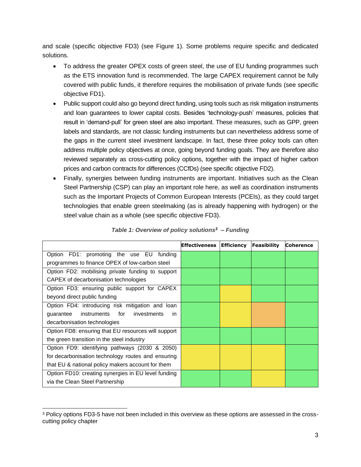and scale (specific objective FD3) (see Figure 1). Some problems require specific and dedicated solutions.

- To address the greater OPEX costs of green steel, the use of EU funding programmes such as the ETS innovation fund is recommended. The large CAPEX requirement cannot be fully covered with public funds, it therefore requires the mobilisation of private funds (see specific objective FD1).
- Public support could also go beyond direct funding, using tools such as risk mitigation instruments and loan guarantees to lower capital costs. Besides 'technology-push' measures, policies that result in 'demand-pull' for green steel are also important. These measures, such as GPP, green labels and standards, are not classic funding instruments but can nevertheless address some of the gaps in the current steel investment landscape. In fact, these three policy tools can often address multiple policy objectives at once, going beyond funding goals. They are therefore also reviewed separately as cross-cutting policy options, together with the impact of higher carbon prices and carbon contracts for differences (CCfDs) (see specific objective FD2).
- Finally, synergies between funding instruments are important. Initiatives such as the Clean Steel Partnership (CSP) can play an important role here, as well as coordination instruments such as the Important Projects of Common European Interests (PCEIs), as they could target technologies that enable green steelmaking (as is already happening with hydrogen) or the steel value chain as a whole (see specific objective FD3).

|                                                     | Effectiveness   Efficiency | Feasibility | <b>Coherence</b> |
|-----------------------------------------------------|----------------------------|-------------|------------------|
| Option FD1: promoting the use EU funding            |                            |             |                  |
| programmes to finance OPEX of low-carbon steel      |                            |             |                  |
| Option FD2: mobilising private funding to support   |                            |             |                  |
| CAPEX of decarbonisation technologies               |                            |             |                  |
| Option FD3: ensuring public support for CAPEX       |                            |             |                  |
| beyond direct public funding                        |                            |             |                  |
| Option FD4: introducing risk mitigation and loan    |                            |             |                  |
| instruments for<br>investments<br>guarantee<br>in.  |                            |             |                  |
| decarbonisation technologies                        |                            |             |                  |
| Option FD8: ensuring that EU resources will support |                            |             |                  |
| the green transition in the steel industry          |                            |             |                  |
| Option FD9: identifying pathways (2030 & 2050)      |                            |             |                  |
| for decarbonisation technology routes and ensuring  |                            |             |                  |
| that EU & national policy makers account for them   |                            |             |                  |
| Option FD10: creating synergies in EU level funding |                            |             |                  |
| via the Clean Steel Partnership                     |                            |             |                  |

*Table 1: Overview of policy solutions<sup>3</sup> – Funding*

<sup>3</sup> Policy options FD3-5 have not been included in this overview as these options are assessed in the crosscutting policy chapter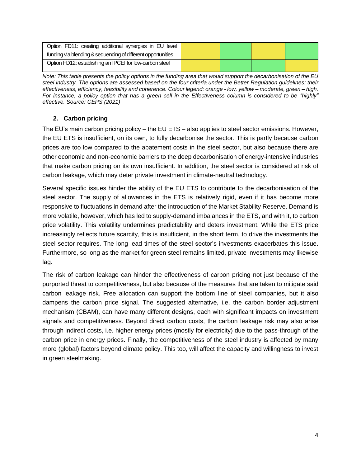| Option FD11: creating additional synergies in EU level       |  |  |
|--------------------------------------------------------------|--|--|
| funding via blending & sequencing of different opportunities |  |  |
| Option FD12: establishing an IPCEI for low-carbon steel      |  |  |

*Note: This table presents the policy options in the funding area that would support the decarbonisation of the EU steel industry. The options are assessed based on the four criteria under the Better Regulation guidelines: their effectiveness, efficiency, feasibility and coherence. Colour legend: orange - low, yellow – moderate, green – high. For instance, a policy option that has a green cell in the Effectiveness column is considered to be "highly" effective. Source: CEPS (2021)*

# **2. Carbon pricing**

The EU's main carbon pricing policy – the EU ETS – also applies to steel sector emissions. However, the EU ETS is insufficient, on its own, to fully decarbonise the sector. This is partly because carbon prices are too low compared to the abatement costs in the steel sector, but also because there are other economic and non-economic barriers to the deep decarbonisation of energy-intensive industries that make carbon pricing on its own insufficient. In addition, the steel sector is considered at risk of carbon leakage, which may deter private investment in climate-neutral technology.

Several specific issues hinder the ability of the EU ETS to contribute to the decarbonisation of the steel sector. The supply of allowances in the ETS is relatively rigid, even if it has become more responsive to fluctuations in demand after the introduction of the Market Stability Reserve. Demand is more volatile, however, which has led to supply-demand imbalances in the ETS, and with it, to carbon price volatility. This volatility undermines predictability and deters investment. While the ETS price increasingly reflects future scarcity, this is insufficient, in the short term, to drive the investments the steel sector requires. The long lead times of the steel sector's investments exacerbates this issue. Furthermore, so long as the market for green steel remains limited, private investments may likewise lag.

The risk of carbon leakage can hinder the effectiveness of carbon pricing not just because of the purported threat to competitiveness, but also because of the measures that are taken to mitigate said carbon leakage risk. Free allocation can support the bottom line of steel companies, but it also dampens the carbon price signal. The suggested alternative, i.e. the carbon border adjustment mechanism (CBAM), can have many different designs, each with significant impacts on investment signals and competitiveness. Beyond direct carbon costs, the carbon leakage risk may also arise through indirect costs, i.e. higher energy prices (mostly for electricity) due to the pass-through of the carbon price in energy prices. Finally, the competitiveness of the steel industry is affected by many more (global) factors beyond climate policy. This too, will affect the capacity and willingness to invest in green steelmaking.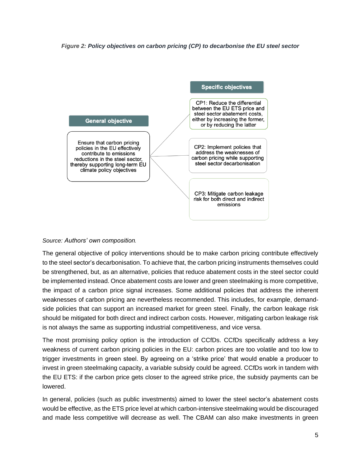



The general objective of policy interventions should be to make carbon pricing contribute effectively to the steel sector's decarbonisation. To achieve that, the carbon pricing instruments themselves could be strengthened, but, as an alternative, policies that reduce abatement costs in the steel sector could be implemented instead. Once abatement costs are lower and green steelmaking is more competitive, the impact of a carbon price signal increases. Some additional policies that address the inherent weaknesses of carbon pricing are nevertheless recommended. This includes, for example, demandside policies that can support an increased market for green steel. Finally, the carbon leakage risk should be mitigated for both direct and indirect carbon costs. However, mitigating carbon leakage risk is not always the same as supporting industrial competitiveness, and vice versa.

The most promising policy option is the introduction of CCfDs. CCfDs specifically address a key weakness of current carbon pricing policies in the EU: carbon prices are too volatile and too low to trigger investments in green steel. By agreeing on a 'strike price' that would enable a producer to invest in green steelmaking capacity, a variable subsidy could be agreed. CCfDs work in tandem with the EU ETS: if the carbon price gets closer to the agreed strike price, the subsidy payments can be lowered.

In general, policies (such as public investments) aimed to lower the steel sector's abatement costs would be effective, as the ETS price level at which carbon-intensive steelmaking would be discouraged and made less competitive will decrease as well. The CBAM can also make investments in green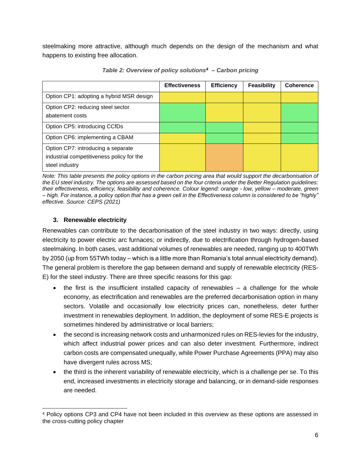steelmaking more attractive, although much depends on the design of the mechanism and what happens to existing free allocation.

|                                                                                                   | <b>Effectiveness</b> | <b>Efficiency</b> | Feasibility | <b>Coherence</b> |
|---------------------------------------------------------------------------------------------------|----------------------|-------------------|-------------|------------------|
| Option CP1: adopting a hybrid MSR design                                                          |                      |                   |             |                  |
| Option CP2: reducing steel sector<br>abatement costs                                              |                      |                   |             |                  |
| Option CP5: introducing CCfDs                                                                     |                      |                   |             |                  |
| Option CP6: implementing a CBAM                                                                   |                      |                   |             |                  |
| Option CP7: introducing a separate<br>industrial competitiveness policy for the<br>steel industry |                      |                   |             |                  |

*Table 2: Overview of policy solutions<sup>4</sup> – Carbon pricing*

*Note: This table presents the policy options in the carbon pricing area that would support the decarbonisation of the EU steel industry. The options are assessed based on the four criteria under the Better Regulation guidelines: their effectiveness, efficiency, feasibility and coherence. Colour legend: orange - low, yellow – moderate, green – high. For instance, a policy option that has a green cell in the Effectiveness column is considered to be "highly" effective. Source: CEPS (2021)*

# **3. Renewable electricity**

Renewables can contribute to the decarbonisation of the steel industry in two ways: directly, using electricity to power electric arc furnaces; or indirectly, due to electrification through hydrogen-based steelmaking. In both cases, vast additional volumes of renewables are needed, ranging up to 400TWh by 2050 (up from 55TWh today – which is a little more than Romania's total annual electricity demand). The general problem is therefore the gap between demand and supply of renewable electricity (RES-E) for the steel industry. There are three specific reasons for this gap:

- the first is the insufficient installed capacity of renewables a challenge for the whole economy, as electrification and renewables are the preferred decarbonisation option in many sectors. Volatile and occasionally low electricity prices can, nonetheless, deter further investment in renewables deployment. In addition, the deployment of some RES-E projects is sometimes hindered by administrative or local barriers;
- the second is increasing network costs and unharmonized rules on RES-levies for the industry, which affect industrial power prices and can also deter investment. Furthermore, indirect carbon costs are compensated unequally, while Power Purchase Agreements (PPA) may also have divergent rules across MS;
- the third is the inherent variability of renewable electricity, which is a challenge per se. To this end, increased investments in electricity storage and balancing, or in demand-side responses are needed.

<sup>4</sup> Policy options CP3 and CP4 have not been included in this overview as these options are assessed in the cross-cutting policy chapter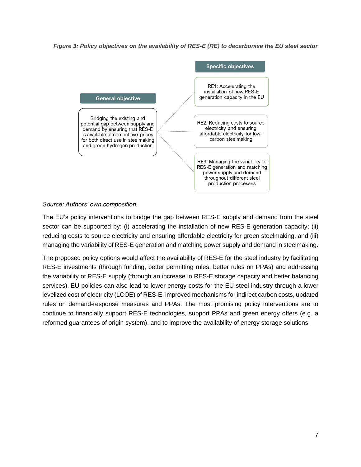*Figure 3: Policy objectives on the availability of RES-E (RE) to decarbonise the EU steel sector*



The EU's policy interventions to bridge the gap between RES-E supply and demand from the steel sector can be supported by: (i) accelerating the installation of new RES-E generation capacity; (ii) reducing costs to source electricity and ensuring affordable electricity for green steelmaking, and (iii) managing the variability of RES-E generation and matching power supply and demand in steelmaking.

The proposed policy options would affect the availability of RES-E for the steel industry by facilitating RES-E investments (through funding, better permitting rules, better rules on PPAs) and addressing the variability of RES-E supply (through an increase in RES-E storage capacity and better balancing services). EU policies can also lead to lower energy costs for the EU steel industry through a lower levelized cost of electricity (LCOE) of RES-E, improved mechanisms for indirect carbon costs, updated rules on demand-response measures and PPAs. The most promising policy interventions are to continue to financially support RES-E technologies, support PPAs and green energy offers (e.g. a reformed guarantees of origin system), and to improve the availability of energy storage solutions.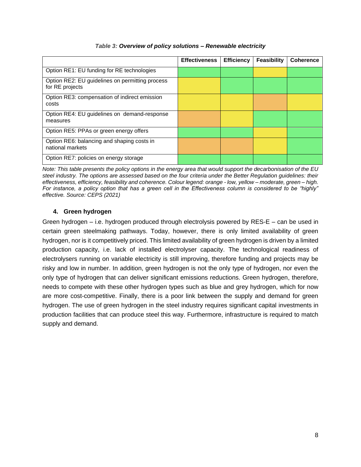|                                                                    | <b>Effectiveness</b> | <b>Efficiency</b> | Feasibility | <b>Coherence</b> |
|--------------------------------------------------------------------|----------------------|-------------------|-------------|------------------|
|                                                                    |                      |                   |             |                  |
| Option RE1: EU funding for RE technologies                         |                      |                   |             |                  |
| Option RE2: EU guidelines on permitting process<br>for RE projects |                      |                   |             |                  |
| Option RE3: compensation of indirect emission                      |                      |                   |             |                  |
| costs                                                              |                      |                   |             |                  |
| Option RE4: EU guidelines on demand-response                       |                      |                   |             |                  |
| measures                                                           |                      |                   |             |                  |
| Option RE5: PPAs or green energy offers                            |                      |                   |             |                  |
| Option RE6: balancing and shaping costs in                         |                      |                   |             |                  |
| national markets                                                   |                      |                   |             |                  |
| Option RE7: policies on energy storage                             |                      |                   |             |                  |
|                                                                    |                      |                   |             |                  |

#### *Table 3: Overview of policy solutions – Renewable electricity*

*Note: This table presents the policy options in the energy area that would support the decarbonisation of the EU steel industry. The options are assessed based on the four criteria under the Better Regulation guidelines: their effectiveness, efficiency, feasibility and coherence. Colour legend: orange - low, yellow – moderate, green – high. For instance, a policy option that has a green cell in the Effectiveness column is considered to be "highly" effective. Source: CEPS (2021)*

## **4. Green hydrogen**

Green hydrogen – i.e. hydrogen produced through electrolysis powered by RES-E – can be used in certain green steelmaking pathways. Today, however, there is only limited availability of green hydrogen, nor is it competitively priced. This limited availability of green hydrogen is driven by a limited production capacity, i.e. lack of installed electrolyser capacity. The technological readiness of electrolysers running on variable electricity is still improving, therefore funding and projects may be risky and low in number. In addition, green hydrogen is not the only type of hydrogen, nor even the only type of hydrogen that can deliver significant emissions reductions. Green hydrogen, therefore, needs to compete with these other hydrogen types such as blue and grey hydrogen, which for now are more cost-competitive. Finally, there is a poor link between the supply and demand for green hydrogen. The use of green hydrogen in the steel industry requires significant capital investments in production facilities that can produce steel this way. Furthermore, infrastructure is required to match supply and demand.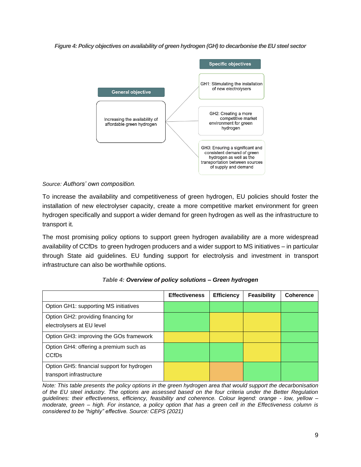*Figure 4: Policy objectives on availability of green hydrogen (GH) to decarbonise the EU steel sector*



To increase the availability and competitiveness of green hydrogen, EU policies should foster the installation of new electrolyser capacity, create a more competitive market environment for green hydrogen specifically and support a wider demand for green hydrogen as well as the infrastructure to transport it.

The most promising policy options to support green hydrogen availability are a more widespread availability of CCfDs to green hydrogen producers and a wider support to MS initiatives – in particular through State aid guidelines. EU funding support for electrolysis and investment in transport infrastructure can also be worthwhile options.

|                                                                        | <b>Effectiveness</b> | <b>Efficiency</b> | Feasibility | <b>Coherence</b> |
|------------------------------------------------------------------------|----------------------|-------------------|-------------|------------------|
| Option GH1: supporting MS initiatives                                  |                      |                   |             |                  |
| Option GH2: providing financing for<br>electrolysers at EU level       |                      |                   |             |                  |
| Option GH3: improving the GOs framework                                |                      |                   |             |                  |
| Option GH4: offering a premium such as<br><b>CCfDs</b>                 |                      |                   |             |                  |
| Option GH5: financial support for hydrogen<br>transport infrastructure |                      |                   |             |                  |

*Note: This table presents the policy options in the green hydrogen area that would support the decarbonisation of the EU steel industry. The options are assessed based on the four criteria under the Better Regulation guidelines: their effectiveness, efficiency, feasibility and coherence. Colour legend: orange - low, yellow – moderate, green – high. For instance, a policy option that has a green cell in the Effectiveness column is considered to be "highly" effective. Source: CEPS (2021)*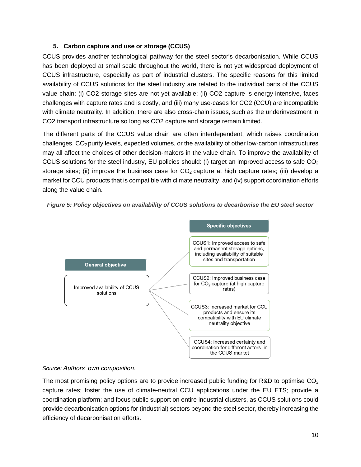## **5. Carbon capture and use or storage (CCUS)**

CCUS provides another technological pathway for the steel sector's decarbonisation. While CCUS has been deployed at small scale throughout the world, there is not yet widespread deployment of CCUS infrastructure, especially as part of industrial clusters. The specific reasons for this limited availability of CCUS solutions for the steel industry are related to the individual parts of the CCUS value chain: (i) CO2 storage sites are not yet available; (ii) CO2 capture is energy-intensive, faces challenges with capture rates and is costly, and (iii) many use-cases for CO2 (CCU) are incompatible with climate neutrality. In addition, there are also cross-chain issues, such as the underinvestment in CO2 transport infrastructure so long as CO2 capture and storage remain limited.

The different parts of the CCUS value chain are often interdependent, which raises coordination challenges. CO<sub>2</sub> purity levels, expected volumes, or the availability of other low-carbon infrastructures may all affect the choices of other decision-makers in the value chain. To improve the availability of CCUS solutions for the steel industry, EU policies should: (i) target an improved access to safe  $CO<sub>2</sub>$ storage sites; (ii) improve the business case for  $CO<sub>2</sub>$  capture at high capture rates; (iii) develop a market for CCU products that is compatible with climate neutrality, and (iv) support coordination efforts along the value chain.



*Figure 5: Policy objectives on availability of CCUS solutions to decarbonise the EU steel sector*

#### *Source: Authors' own composition.*

The most promising policy options are to provide increased public funding for R&D to optimise  $CO<sub>2</sub>$ capture rates; foster the use of climate-neutral CCU applications under the EU ETS; provide a coordination platform; and focus public support on entire industrial clusters, as CCUS solutions could provide decarbonisation options for (industrial) sectors beyond the steel sector, thereby increasing the efficiency of decarbonisation efforts.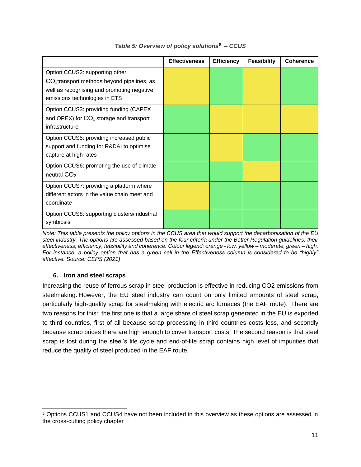|                                                                                                                                                                         | <b>Effectiveness</b> | <b>Efficiency</b> | <b>Feasibility</b> | <b>Coherence</b> |
|-------------------------------------------------------------------------------------------------------------------------------------------------------------------------|----------------------|-------------------|--------------------|------------------|
| Option CCUS2: supporting other<br>CO <sub>2</sub> transport methods beyond pipelines, as<br>well as recognising and promoting negative<br>emissions technologies in ETS |                      |                   |                    |                  |
| Option CCUS3: providing funding (CAPEX<br>and OPEX) for $CO2$ storage and transport<br>infrastructure                                                                   |                      |                   |                    |                  |
| Option CCUS5: providing increased public<br>support and funding for R&D&I to optimise<br>capture at high rates                                                          |                      |                   |                    |                  |
| Option CCUS6: promoting the use of climate-<br>neutral CO <sub>2</sub>                                                                                                  |                      |                   |                    |                  |
| Option CCUS7: providing a platform where<br>different actors in the value chain meet and<br>coordinate                                                                  |                      |                   |                    |                  |
| Option CCUS8: supporting clusters/industrial<br>symbiosis                                                                                                               |                      |                   |                    |                  |

#### *Table 5: Overview of policy solutions<sup>5</sup> – CCUS*

*Note: This table presents the policy options in the CCUS area that would support the decarbonisation of the EU steel industry. The options are assessed based on the four criteria under the Better Regulation guidelines: their effectiveness, efficiency, feasibility and coherence. Colour legend: orange - low, yellow – moderate, green – high. For instance, a policy option that has a green cell in the Effectiveness column is considered to be "highly" effective. Source: CEPS (2021)*

## **6. Iron and steel scraps**

Increasing the reuse of ferrous scrap in steel production is effective in reducing CO2 emissions from steelmaking. However, the EU steel industry can count on only limited amounts of steel scrap, particularly high-quality scrap for steelmaking with electric arc furnaces (the EAF route). There are two reasons for this: the first one is that a large share of steel scrap generated in the EU is exported to third countries, first of all because scrap processing in third countries costs less, and secondly because scrap prices there are high enough to cover transport costs. The second reason is that steel scrap is lost during the steel's life cycle and end-of-life scrap contains high level of impurities that reduce the quality of steel produced in the EAF route.

<sup>5</sup> Options CCUS1 and CCUS4 have not been included in this overview as these options are assessed in the cross-cutting policy chapter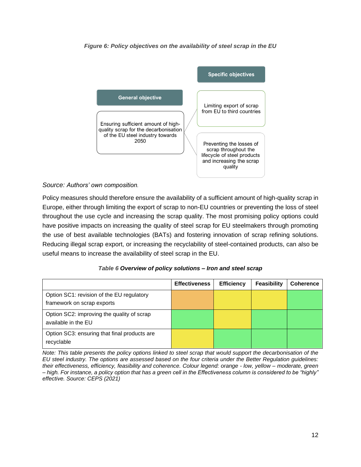



Policy measures should therefore ensure the availability of a sufficient amount of high-quality scrap in Europe, either through limiting the export of scrap to non-EU countries or preventing the loss of steel throughout the use cycle and increasing the scrap quality. The most promising policy options could have positive impacts on increasing the quality of steel scrap for EU steelmakers through promoting the use of best available technologies (BATs) and fostering innovation of scrap refining solutions. Reducing illegal scrap export, or increasing the recyclability of steel-contained products, can also be useful means to increase the availability of steel scrap in the EU.

|                                                                         | <b>Effectiveness</b> | <b>Efficiency</b> | <b>Feasibility</b> | <b>Coherence</b> |
|-------------------------------------------------------------------------|----------------------|-------------------|--------------------|------------------|
| Option SC1: revision of the EU regulatory<br>framework on scrap exports |                      |                   |                    |                  |
| Option SC2: improving the quality of scrap<br>available in the EU       |                      |                   |                    |                  |
| Option SC3: ensuring that final products are<br>recyclable              |                      |                   |                    |                  |

#### *Table 6 Overview of policy solutions – Iron and steel scrap*

*Note: This table presents the policy options linked to steel scrap that would support the decarbonisation of the EU steel industry. The options are assessed based on the four criteria under the Better Regulation guidelines: their effectiveness, efficiency, feasibility and coherence. Colour legend: orange - low, yellow – moderate, green – high. For instance, a policy option that has a green cell in the Effectiveness column is considered to be "highly" effective. Source: CEPS (2021)*